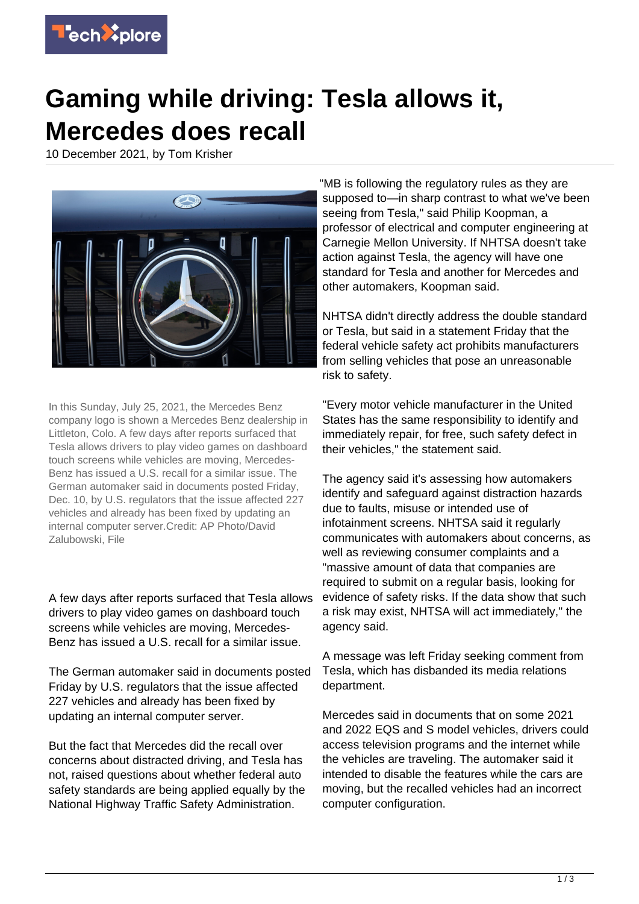

## **Gaming while driving: Tesla allows it, Mercedes does recall**

10 December 2021, by Tom Krisher



In this Sunday, July 25, 2021, the Mercedes Benz company logo is shown a Mercedes Benz dealership in Littleton, Colo. A few days after reports surfaced that Tesla allows drivers to play video games on dashboard touch screens while vehicles are moving, Mercedes-Benz has issued a U.S. recall for a similar issue. The German automaker said in documents posted Friday, Dec. 10, by U.S. regulators that the issue affected 227 vehicles and already has been fixed by updating an internal computer server.Credit: AP Photo/David Zalubowski, File

A few days after reports surfaced that Tesla allows drivers to play video games on dashboard touch screens while vehicles are moving, Mercedes-Benz has issued a U.S. recall for a similar issue.

The German automaker said in documents posted Friday by U.S. regulators that the issue affected 227 vehicles and already has been fixed by updating an internal computer server.

But the fact that Mercedes did the recall over concerns about distracted driving, and Tesla has not, raised questions about whether federal auto safety standards are being applied equally by the National Highway Traffic Safety Administration.

"MB is following the regulatory rules as they are supposed to—in sharp contrast to what we've been seeing from Tesla," said Philip Koopman, a professor of electrical and computer engineering at Carnegie Mellon University. If NHTSA doesn't take action against Tesla, the agency will have one standard for Tesla and another for Mercedes and other automakers, Koopman said.

NHTSA didn't directly address the double standard or Tesla, but said in a statement Friday that the federal vehicle safety act prohibits manufacturers from selling vehicles that pose an unreasonable risk to safety.

"Every motor vehicle manufacturer in the United States has the same responsibility to identify and immediately repair, for free, such safety defect in their vehicles," the statement said.

The agency said it's assessing how automakers identify and safeguard against distraction hazards due to faults, misuse or intended use of infotainment screens. NHTSA said it regularly communicates with automakers about concerns, as well as reviewing consumer complaints and a "massive amount of data that companies are required to submit on a regular basis, looking for evidence of safety risks. If the data show that such a risk may exist, NHTSA will act immediately," the agency said.

A message was left Friday seeking comment from Tesla, which has disbanded its media relations department.

Mercedes said in documents that on some 2021 and 2022 EQS and S model vehicles, drivers could access television programs and the internet while the vehicles are traveling. The automaker said it intended to disable the features while the cars are moving, but the recalled vehicles had an incorrect computer configuration.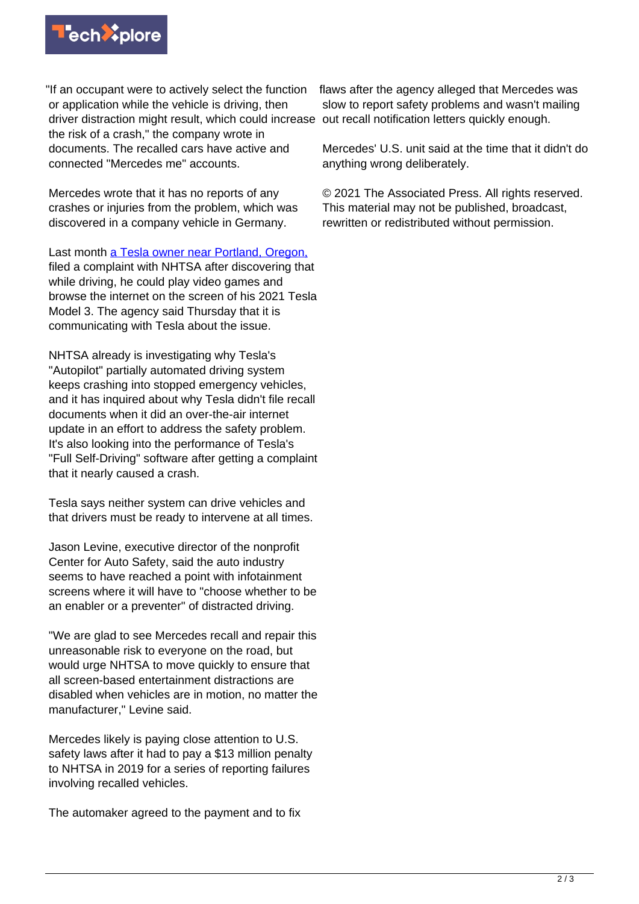

"If an occupant were to actively select the function or application while the vehicle is driving, then driver distraction might result, which could increase out recall notification letters quickly enough. the risk of a crash," the company wrote in documents. The recalled cars have active and connected "Mercedes me" accounts.

Mercedes wrote that it has no reports of any crashes or injuries from the problem, which was discovered in a company vehicle in Germany.

Last month [a Tesla owner near Portland, Oregon,](https://techxplore.com/news/2021-12-drivers-video-games-tesla-case.html) filed a complaint with NHTSA after discovering that while driving, he could play video games and browse the internet on the screen of his 2021 Tesla Model 3. The agency said Thursday that it is communicating with Tesla about the issue.

NHTSA already is investigating why Tesla's "Autopilot" partially automated driving system keeps crashing into stopped emergency vehicles, and it has inquired about why Tesla didn't file recall documents when it did an over-the-air internet update in an effort to address the safety problem. It's also looking into the performance of Tesla's "Full Self-Driving" software after getting a complaint that it nearly caused a crash.

Tesla says neither system can drive vehicles and that drivers must be ready to intervene at all times.

Jason Levine, executive director of the nonprofit Center for Auto Safety, said the auto industry seems to have reached a point with infotainment screens where it will have to "choose whether to be an enabler or a preventer" of distracted driving.

"We are glad to see Mercedes recall and repair this unreasonable risk to everyone on the road, but would urge NHTSA to move quickly to ensure that all screen-based entertainment distractions are disabled when vehicles are in motion, no matter the manufacturer," Levine said.

Mercedes likely is paying close attention to U.S. safety laws after it had to pay a \$13 million penalty to NHTSA in 2019 for a series of reporting failures involving recalled vehicles.

The automaker agreed to the payment and to fix

flaws after the agency alleged that Mercedes was slow to report safety problems and wasn't mailing

Mercedes' U.S. unit said at the time that it didn't do anything wrong deliberately.

© 2021 The Associated Press. All rights reserved. This material may not be published, broadcast, rewritten or redistributed without permission.